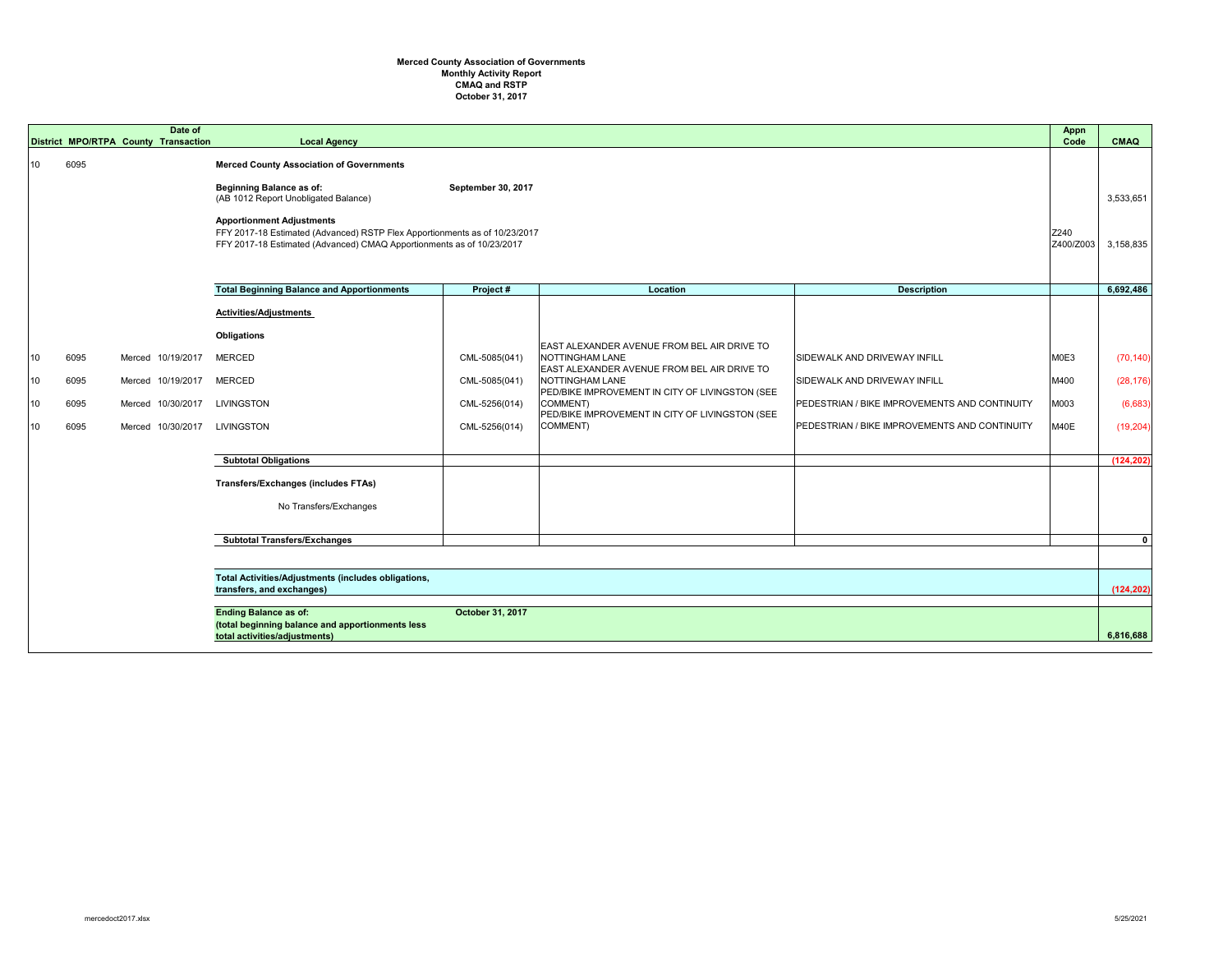## **October 31, 2017 Merced County Association of Governments Monthly Activity Report CMAQ and RSTP**

|    |      | Date of<br>District MPO/RTPA County Transaction | <b>Local Agency</b>                                                                                                                                            |                    |                                                                                                               |                                               | <b>Appn</b><br>Code | <b>CMAQ</b> |
|----|------|-------------------------------------------------|----------------------------------------------------------------------------------------------------------------------------------------------------------------|--------------------|---------------------------------------------------------------------------------------------------------------|-----------------------------------------------|---------------------|-------------|
| 10 | 6095 |                                                 | <b>Merced County Association of Governments</b><br><b>Beginning Balance as of:</b><br>(AB 1012 Report Unobligated Balance)<br><b>Apportionment Adjustments</b> | September 30, 2017 |                                                                                                               |                                               |                     | 3,533,651   |
|    |      |                                                 | FFY 2017-18 Estimated (Advanced) RSTP Flex Apportionments as of 10/23/2017<br>FFY 2017-18 Estimated (Advanced) CMAQ Apportionments as of 10/23/2017            |                    |                                                                                                               |                                               | Z240<br>Z400/Z003   | 3,158,835   |
|    |      |                                                 | <b>Total Beginning Balance and Apportionments</b>                                                                                                              | Project#           | Location                                                                                                      | <b>Description</b>                            |                     | 6,692,486   |
|    |      |                                                 | <b>Activities/Adjustments</b><br><b>Obligations</b>                                                                                                            |                    |                                                                                                               |                                               |                     |             |
| 10 | 6095 | Merced 10/19/2017                               | <b>MERCED</b>                                                                                                                                                  | CML-5085(041)      | EAST ALEXANDER AVENUE FROM BEL AIR DRIVE TO<br>NOTTINGHAM LANE<br>EAST ALEXANDER AVENUE FROM BEL AIR DRIVE TO | <b>SIDEWALK AND DRIVEWAY INFILL</b>           | M0E3                | (70, 140)   |
| 10 | 6095 | Merced 10/19/2017                               | <b>MERCED</b>                                                                                                                                                  | CML-5085(041)      | NOTTINGHAM LANE<br>PED/BIKE IMPROVEMENT IN CITY OF LIVINGSTON (SEE                                            | SIDEWALK AND DRIVEWAY INFILL                  | M400                | (28, 176)   |
| 10 | 6095 | Merced 10/30/2017                               | <b>LIVINGSTON</b>                                                                                                                                              | CML-5256(014)      | COMMENT)<br>PED/BIKE IMPROVEMENT IN CITY OF LIVINGSTON (SEE                                                   | PEDESTRIAN / BIKE IMPROVEMENTS AND CONTINUITY | M003                | (6,683)     |
| 10 | 6095 | Merced 10/30/2017                               | <b>LIVINGSTON</b>                                                                                                                                              | CML-5256(014)      | COMMENT)                                                                                                      | PEDESTRIAN / BIKE IMPROVEMENTS AND CONTINUITY | M40E                | (19,204)    |
|    |      |                                                 | <b>Subtotal Obligations</b>                                                                                                                                    |                    |                                                                                                               |                                               |                     | (124, 202)  |
|    |      |                                                 | <b>Transfers/Exchanges (includes FTAs)</b>                                                                                                                     |                    |                                                                                                               |                                               |                     |             |
|    |      |                                                 | No Transfers/Exchanges                                                                                                                                         |                    |                                                                                                               |                                               |                     |             |
|    |      |                                                 | <b>Subtotal Transfers/Exchanges</b>                                                                                                                            |                    |                                                                                                               |                                               |                     | $\mathbf 0$ |
|    |      |                                                 |                                                                                                                                                                |                    |                                                                                                               |                                               |                     |             |
|    |      |                                                 | Total Activities/Adjustments (includes obligations,<br>transfers, and exchanges)                                                                               |                    |                                                                                                               |                                               |                     | (124, 202)  |
|    |      |                                                 | <b>Ending Balance as of:</b><br>(total beginning balance and apportionments less<br>total activities/adjustments)                                              | October 31, 2017   |                                                                                                               |                                               |                     | 6,816,688   |

|                                                                                                                                                                                                                                                                |                                                                                                                                                                | <b>Appn</b><br>Code          | <b>CMAQ</b>                                                  |
|----------------------------------------------------------------------------------------------------------------------------------------------------------------------------------------------------------------------------------------------------------------|----------------------------------------------------------------------------------------------------------------------------------------------------------------|------------------------------|--------------------------------------------------------------|
|                                                                                                                                                                                                                                                                |                                                                                                                                                                | Z240<br>Z400/Z003            | 3,533,651<br>3,158,835                                       |
| <b>Location</b>                                                                                                                                                                                                                                                | <b>Description</b>                                                                                                                                             |                              | 6,692,486                                                    |
| EAST ALEXANDER AVENUE FROM BEL AIR DRIVE TO<br>NOTTINGHAM LANE<br>EAST ALEXANDER AVENUE FROM BEL AIR DRIVE TO<br>NOTTINGHAM LANE<br>PED/BIKE IMPROVEMENT IN CITY OF LIVINGSTON (SEE<br>COMMENT)<br>PED/BIKE IMPROVEMENT IN CITY OF LIVINGSTON (SEE<br>COMMENT) | SIDEWALK AND DRIVEWAY INFILL<br>SIDEWALK AND DRIVEWAY INFILL<br>PEDESTRIAN / BIKE IMPROVEMENTS AND CONTINUITY<br>PEDESTRIAN / BIKE IMPROVEMENTS AND CONTINUITY | M0E3<br>M400<br>M003<br>M40E | (70, 140)<br>(28, 176)<br>(6,683)<br>(19, 204)<br>(124, 202) |
|                                                                                                                                                                                                                                                                |                                                                                                                                                                |                              | $\mathbf 0$                                                  |
|                                                                                                                                                                                                                                                                |                                                                                                                                                                |                              |                                                              |
|                                                                                                                                                                                                                                                                |                                                                                                                                                                |                              | (124, 202)                                                   |
|                                                                                                                                                                                                                                                                |                                                                                                                                                                |                              | 6,816,688                                                    |